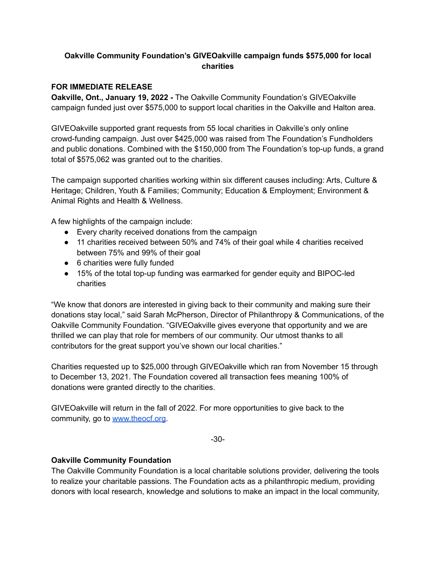## **Oakville Community Foundation's GIVEOakville campaign funds \$575,000 for local charities**

## **FOR IMMEDIATE RELEASE**

**Oakville, Ont., January 19, 2022 -** The Oakville Community Foundation's GIVEOakville campaign funded just over \$575,000 to support local charities in the Oakville and Halton area.

GIVEOakville supported grant requests from 55 local charities in Oakville's only online crowd-funding campaign. Just over \$425,000 was raised from The Foundation's Fundholders and public donations. Combined with the \$150,000 from The Foundation's top-up funds, a grand total of \$575,062 was granted out to the charities.

The campaign supported charities working within six different causes including: Arts, Culture & Heritage; Children, Youth & Families; Community; Education & Employment; Environment & Animal Rights and Health & Wellness.

A few highlights of the campaign include:

- Every charity received donations from the campaign
- 11 charities received between 50% and 74% of their goal while 4 charities received between 75% and 99% of their goal
- 6 charities were fully funded
- 15% of the total top-up funding was earmarked for gender equity and BIPOC-led charities

"We know that donors are interested in giving back to their community and making sure their donations stay local," said Sarah McPherson, Director of Philanthropy & Communications, of the Oakville Community Foundation. "GIVEOakville gives everyone that opportunity and we are thrilled we can play that role for members of our community. Our utmost thanks to all contributors for the great support you've shown our local charities."

Charities requested up to \$25,000 through GIVEOakville which ran from November 15 through to December 13, 2021. The Foundation covered all transaction fees meaning 100% of donations were granted directly to the charities.

GIVEOakville will return in the fall of 2022. For more opportunities to give back to the community, go to [www.theocf.org](http://www.theocf.org).

-30-

## **Oakville Community Foundation**

The Oakville Community Foundation is a local charitable solutions provider, delivering the tools to realize your charitable passions. The Foundation acts as a philanthropic medium, providing donors with local research, knowledge and solutions to make an impact in the local community,